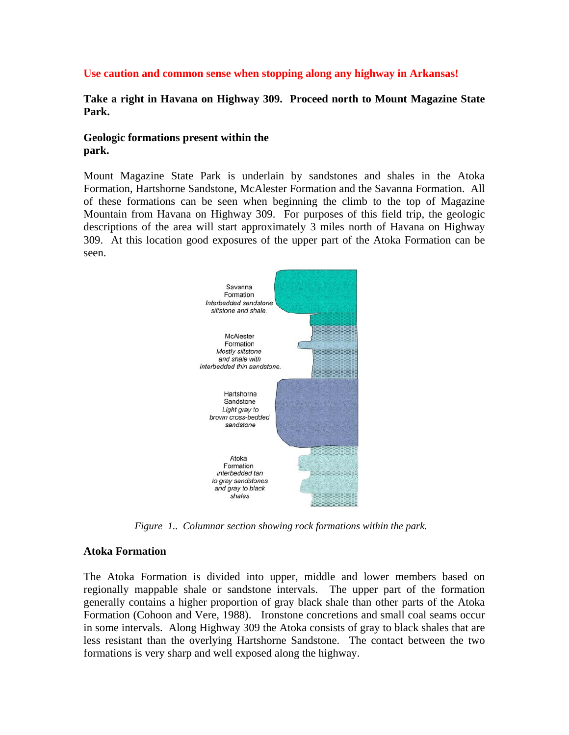### **Use caution and common sense when stopping along any highway in Arkansas!**

**Take a right in Havana on Highway 309. Proceed north to Mount Magazine State Park.** 

### **Geologic formations present within the park.**

Mount Magazine State Park is underlain by sandstones and shales in the Atoka Formation, Hartshorne Sandstone, McAlester Formation and the Savanna Formation. All of these formations can be seen when beginning the climb to the top of Magazine Mountain from Havana on Highway 309. For purposes of this field trip, the geologic descriptions of the area will start approximately 3 miles north of Havana on Highway 309. At this location good exposures of the upper part of the Atoka Formation can be seen.



 *Figure 1.. Columnar section showing rock formations within the park.* 

### **Atoka Formation**

The Atoka Formation is divided into upper, middle and lower members based on regionally mappable shale or sandstone intervals. The upper part of the formation generally contains a higher proportion of gray black shale than other parts of the Atoka Formation (Cohoon and Vere, 1988). Ironstone concretions and small coal seams occur in some intervals. Along Highway 309 the Atoka consists of gray to black shales that are less resistant than the overlying Hartshorne Sandstone. The contact between the two formations is very sharp and well exposed along the highway.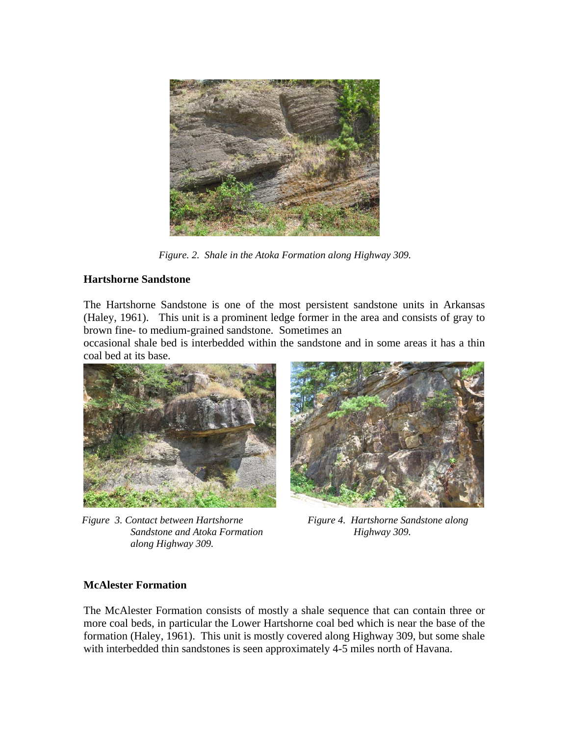

*Figure. 2. Shale in the Atoka Formation along Highway 309.* 

### **Hartshorne Sandstone**

The Hartshorne Sandstone is one of the most persistent sandstone units in Arkansas (Haley, 1961). This unit is a prominent ledge former in the area and consists of gray to brown fine- to medium-grained sandstone. Sometimes an

occasional shale bed is interbedded within the sandstone and in some areas it has a thin coal bed at its base.



*Figure 3. Contact between Hartshorne Sandstone and Atoka Formation along Highway 309.* 



*Figure 4. Hartshorne Sandstone along Highway 309.* 

### **McAlester Formation**

The McAlester Formation consists of mostly a shale sequence that can contain three or more coal beds, in particular the Lower Hartshorne coal bed which is near the base of the formation (Haley, 1961). This unit is mostly covered along Highway 309, but some shale with interbedded thin sandstones is seen approximately 4-5 miles north of Havana.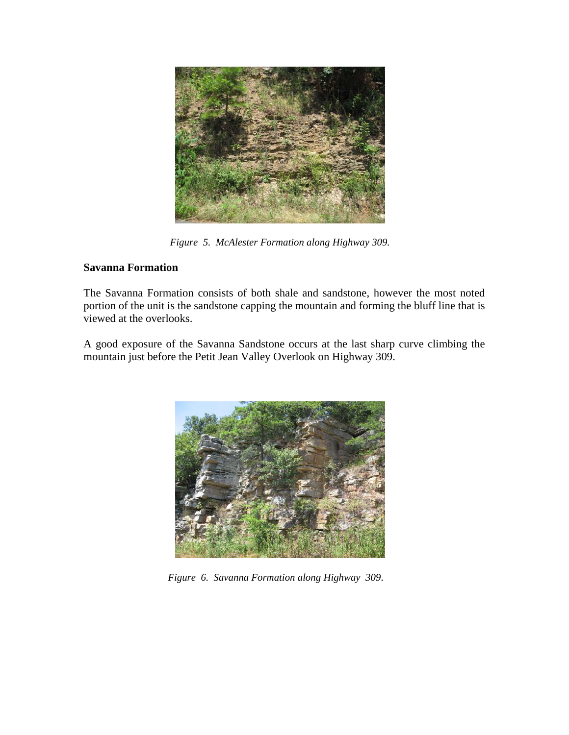

*Figure 5. McAlester Formation along Highway 309.* 

## **Savanna Formation**

The Savanna Formation consists of both shale and sandstone, however the most noted portion of the unit is the sandstone capping the mountain and forming the bluff line that is viewed at the overlooks.

A good exposure of the Savanna Sandstone occurs at the last sharp curve climbing the mountain just before the Petit Jean Valley Overlook on Highway 309.



 *Figure 6. Savanna Formation along Highway 309*.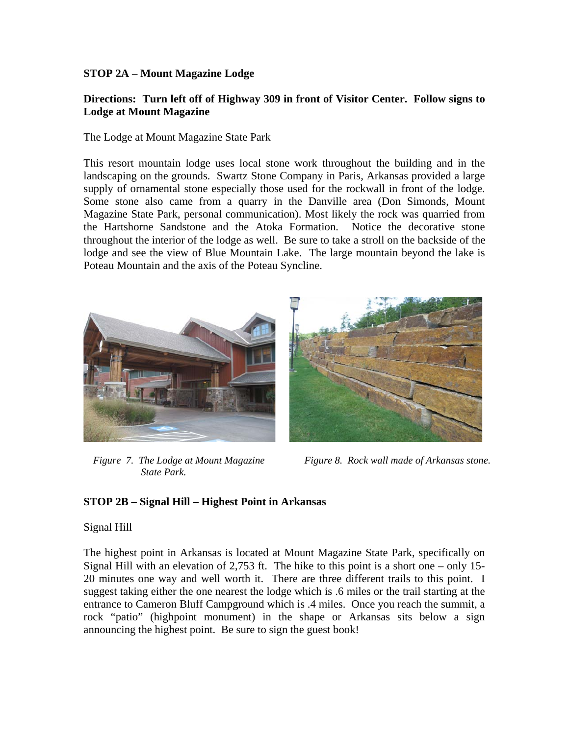### **STOP 2A – Mount Magazine Lodge**

### **Directions: Turn left off of Highway 309 in front of Visitor Center. Follow signs to Lodge at Mount Magazine**

The Lodge at Mount Magazine State Park

This resort mountain lodge uses local stone work throughout the building and in the landscaping on the grounds. Swartz Stone Company in Paris, Arkansas provided a large supply of ornamental stone especially those used for the rockwall in front of the lodge. Some stone also came from a quarry in the Danville area (Don Simonds, Mount Magazine State Park, personal communication). Most likely the rock was quarried from the Hartshorne Sandstone and the Atoka Formation. Notice the decorative stone throughout the interior of the lodge as well. Be sure to take a stroll on the backside of the lodge and see the view of Blue Mountain Lake. The large mountain beyond the lake is Poteau Mountain and the axis of the Poteau Syncline.



 *Figure 7. The Lodge at Mount Magazine State Park.* 



 *Figure 8. Rock wall made of Arkansas stone.* 

### **STOP 2B – Signal Hill – Highest Point in Arkansas**

### Signal Hill

The highest point in Arkansas is located at Mount Magazine State Park, specifically on Signal Hill with an elevation of 2,753 ft. The hike to this point is a short one – only 15- 20 minutes one way and well worth it. There are three different trails to this point. I suggest taking either the one nearest the lodge which is .6 miles or the trail starting at the entrance to Cameron Bluff Campground which is .4 miles. Once you reach the summit, a rock "patio" (highpoint monument) in the shape or Arkansas sits below a sign announcing the highest point. Be sure to sign the guest book!